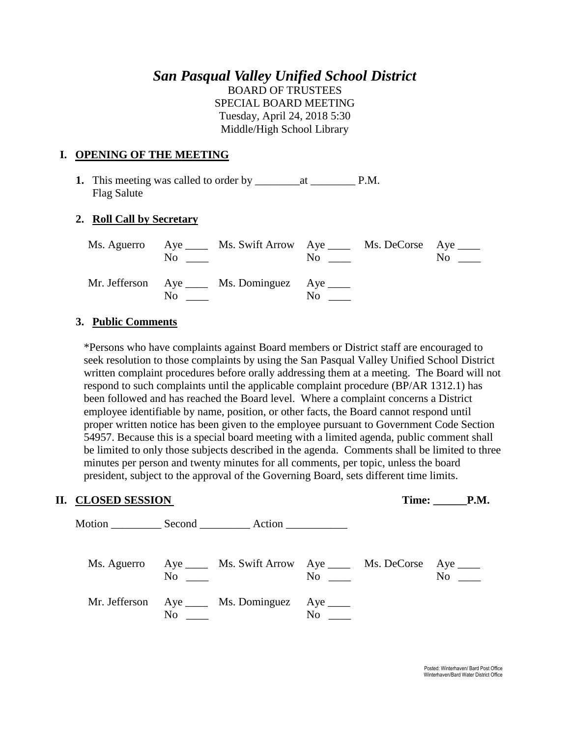## *San Pasqual Valley Unified School District* BOARD OF TRUSTEES SPECIAL BOARD MEETING Tuesday, April 24, 2018 5:30

Middle/High School Library

### **I. OPENING OF THE MEETING**

**1.** This meeting was called to order by \_\_\_\_\_\_\_\_at \_\_\_\_\_\_\_\_ P.M. Flag Salute

### **2. Roll Call by Secretary**

|    | Ms. Aguerro Aye _____ Ms. Swift Arrow Aye _____ Ms. DeCorse Aye ____<br>$\mathbf{N}\mathbf{o}$ |                      | $\overline{N}$ o $\overline{\phantom{0}}$ | $\overline{N_0}$ $\overline{\phantom{0}}$ |
|----|------------------------------------------------------------------------------------------------|----------------------|-------------------------------------------|-------------------------------------------|
| No | Mr. Jefferson Aye _____ Ms. Dominguez Aye _____                                                | $\mathrm{No}$ $\_\_$ |                                           |                                           |

### **3. Public Comments**

\*Persons who have complaints against Board members or District staff are encouraged to seek resolution to those complaints by using the San Pasqual Valley Unified School District written complaint procedures before orally addressing them at a meeting. The Board will not respond to such complaints until the applicable complaint procedure (BP/AR 1312.1) has been followed and has reached the Board level. Where a complaint concerns a District employee identifiable by name, position, or other facts, the Board cannot respond until proper written notice has been given to the employee pursuant to Government Code Section 54957. Because this is a special board meeting with a limited agenda, public comment shall be limited to only those subjects described in the agenda. Comments shall be limited to three minutes per person and twenty minutes for all comments, per topic, unless the board president, subject to the approval of the Governing Board, sets different time limits.

#### **II. CLOSED SESSION** Time: **The:** P.M.

| No             | Ms. Aguerro Aye _____ Ms. Swift Arrow Aye _____ Ms. DeCorse Aye _____ |          | $\rm No$ | No |
|----------------|-----------------------------------------------------------------------|----------|----------|----|
| N <sub>0</sub> | Mr. Jefferson Aye _____ Ms. Dominguez Aye _____                       | $\rm No$ |          |    |